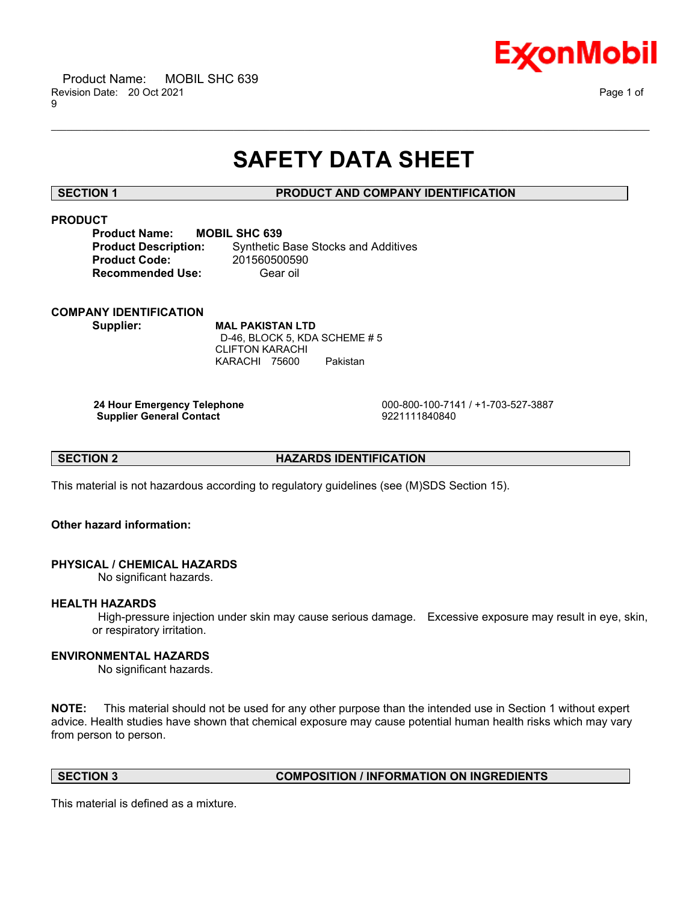

# **SAFETY DATA SHEET**

\_\_\_\_\_\_\_\_\_\_\_\_\_\_\_\_\_\_\_\_\_\_\_\_\_\_\_\_\_\_\_\_\_\_\_\_\_\_\_\_\_\_\_\_\_\_\_\_\_\_\_\_\_\_\_\_\_\_\_\_\_\_\_\_\_\_\_\_\_\_\_\_\_\_\_\_\_\_\_\_\_\_\_\_\_\_\_\_\_\_\_\_\_\_\_\_\_\_\_\_\_\_\_\_\_\_\_\_\_\_\_\_\_\_\_\_\_\_

# **SECTION 1 PRODUCT AND COMPANY IDENTIFICATION**

# **PRODUCT**

| <b>Product Name:</b>        | <b>MOBIL SHC 639</b>                       |
|-----------------------------|--------------------------------------------|
| <b>Product Description:</b> | <b>Synthetic Base Stocks and Additives</b> |
| <b>Product Code:</b>        | 201560500590                               |
| <b>Recommended Use:</b>     | Gear oil                                   |

# **COMPANY IDENTIFICATION**

**Supplier: MAL PAKISTAN LTD** D-46, BLOCK 5, KDA SCHEME # 5 CLIFTON KARACHI KARACHI 75600 Pakistan

**Supplier General Contact** 

**24 Hour Emergency Telephone** 000-800-100-7141 / +1-703-527-3887

**SECTION 2 HAZARDS IDENTIFICATION**

This material is not hazardous according to regulatory guidelines (see (M)SDS Section 15).

### **Other hazard information:**

# **PHYSICAL / CHEMICAL HAZARDS**

No significant hazards.

## **HEALTH HAZARDS**

High-pressure injection under skin may cause serious damage. Excessive exposure may result in eye, skin, or respiratory irritation.

### **ENVIRONMENTAL HAZARDS**

No significant hazards.

**NOTE:** This material should not be used for any other purpose than the intended use in Section 1 without expert advice. Health studies have shown that chemical exposure may cause potential human health risks which may vary from person to person.

### **SECTION 3 COMPOSITION / INFORMATION ON INGREDIENTS**

This material is defined as a mixture.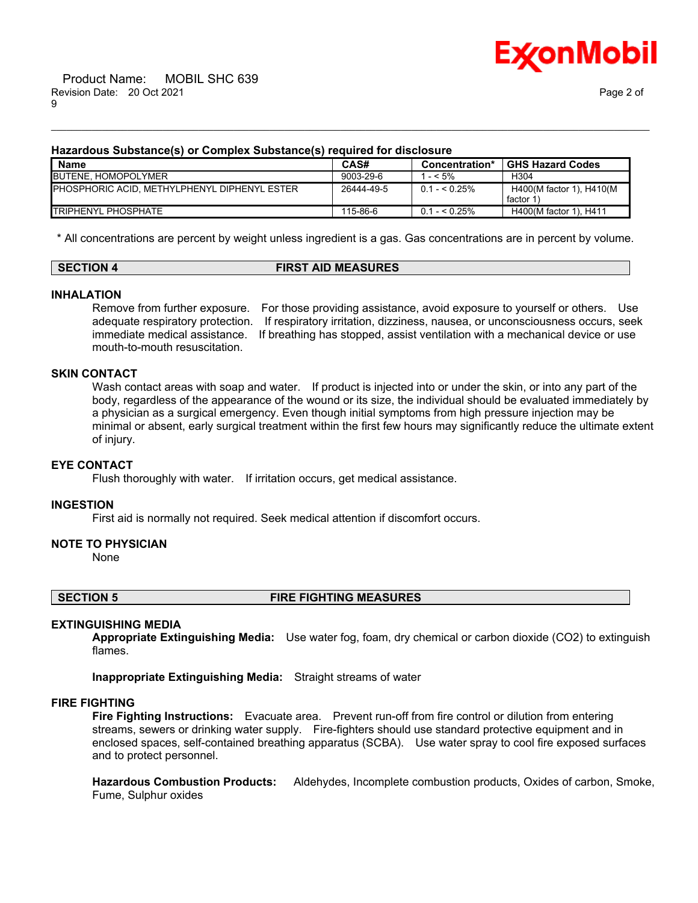

#### **Hazardous Substance(s) or Complex Substance(s) required for disclosure**

| Name                                          | CAS#       | Concentration* | <b>GHS Hazard Codes</b>               |
|-----------------------------------------------|------------|----------------|---------------------------------------|
| <b>BUTENE, HOMOPOLYMER</b>                    | 9003-29-6  | $- < 5\%$      | H <sub>304</sub>                      |
| IPHOSPHORIC ACID. METHYLPHENYL DIPHENYL ESTER | 26444-49-5 | $0.1 - 5.25\%$ | H400(M factor 1), H410(M<br>factor 1) |
| <b>TRIPHENYL PHOSPHATE</b>                    | 115-86-6   | $0.1 - 5.25\%$ | H400(M factor 1), H411                |

\_\_\_\_\_\_\_\_\_\_\_\_\_\_\_\_\_\_\_\_\_\_\_\_\_\_\_\_\_\_\_\_\_\_\_\_\_\_\_\_\_\_\_\_\_\_\_\_\_\_\_\_\_\_\_\_\_\_\_\_\_\_\_\_\_\_\_\_\_\_\_\_\_\_\_\_\_\_\_\_\_\_\_\_\_\_\_\_\_\_\_\_\_\_\_\_\_\_\_\_\_\_\_\_\_\_\_\_\_\_\_\_\_\_\_\_\_\_

\* All concentrations are percent by weight unless ingredient is a gas. Gas concentrations are in percent by volume.

#### **SECTION 4 FIRST AID MEASURES**

#### **INHALATION**

Remove from further exposure. For those providing assistance, avoid exposure to yourself or others. Use adequate respiratory protection. If respiratory irritation, dizziness, nausea, or unconsciousness occurs, seek immediate medical assistance. If breathing has stopped, assist ventilation with a mechanical device or use mouth-to-mouth resuscitation.

#### **SKIN CONTACT**

Wash contact areas with soap and water. If product is injected into or under the skin, or into any part of the body, regardless of the appearance of the wound or its size, the individual should be evaluated immediately by a physician as a surgical emergency. Even though initial symptoms from high pressure injection may be minimal or absent, early surgical treatment within the first few hours may significantly reduce the ultimate extent of injury.

#### **EYE CONTACT**

Flush thoroughly with water. If irritation occurs, get medical assistance.

#### **INGESTION**

First aid is normally not required. Seek medical attention if discomfort occurs.

#### **NOTE TO PHYSICIAN**

None

#### **SECTION 5 FIRE FIGHTING MEASURES**

#### **EXTINGUISHING MEDIA**

**Appropriate Extinguishing Media:** Use water fog, foam, dry chemical or carbon dioxide (CO2) to extinguish flames.

**Inappropriate Extinguishing Media:** Straight streams of water

#### **FIRE FIGHTING**

**Fire Fighting Instructions:** Evacuate area. Prevent run-off from fire control or dilution from entering streams, sewers or drinking water supply. Fire-fighters should use standard protective equipment and in enclosed spaces, self-contained breathing apparatus (SCBA). Use water spray to cool fire exposed surfaces and to protect personnel.

**Hazardous Combustion Products:** Aldehydes, Incomplete combustion products, Oxides of carbon, Smoke, Fume, Sulphur oxides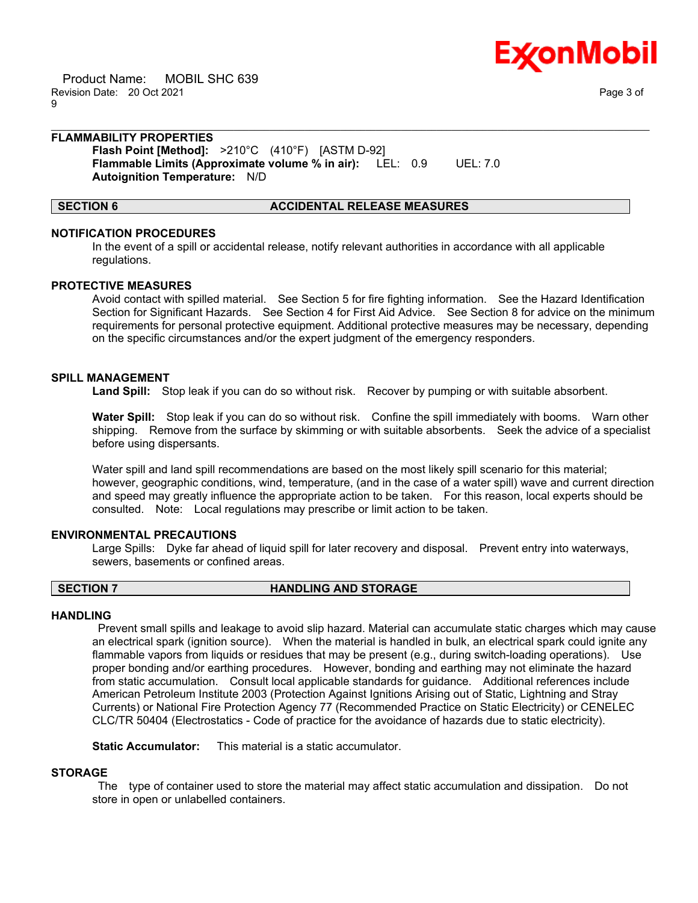

 Product Name: MOBIL SHC 639 Revision Date: 20 Oct 2021 Page 3 of 9

#### \_\_\_\_\_\_\_\_\_\_\_\_\_\_\_\_\_\_\_\_\_\_\_\_\_\_\_\_\_\_\_\_\_\_\_\_\_\_\_\_\_\_\_\_\_\_\_\_\_\_\_\_\_\_\_\_\_\_\_\_\_\_\_\_\_\_\_\_\_\_\_\_\_\_\_\_\_\_\_\_\_\_\_\_\_\_\_\_\_\_\_\_\_\_\_\_\_\_\_\_\_\_\_\_\_\_\_\_\_\_\_\_\_\_\_\_\_\_ **FLAMMABILITY PROPERTIES**

**Flash Point [Method]:** >210°C (410°F) [ASTM D-92] **Flammable Limits (Approximate volume % in air):** LEL: 0.9 UEL: 7.0 **Autoignition Temperature:** N/D

#### **SECTION 6 ACCIDENTAL RELEASE MEASURES**

#### **NOTIFICATION PROCEDURES**

In the event of a spill or accidental release, notify relevant authorities in accordance with all applicable regulations.

#### **PROTECTIVE MEASURES**

Avoid contact with spilled material. See Section 5 for fire fighting information. See the Hazard Identification Section for Significant Hazards. See Section 4 for First Aid Advice. See Section 8 for advice on the minimum requirements for personal protective equipment. Additional protective measures may be necessary, depending on the specific circumstances and/or the expert judgment of the emergency responders.

### **SPILL MANAGEMENT**

**Land Spill:** Stop leak if you can do so without risk. Recover by pumping or with suitable absorbent.

**Water Spill:** Stop leak if you can do so without risk. Confine the spill immediately with booms. Warn other shipping. Remove from the surface by skimming or with suitable absorbents. Seek the advice of a specialist before using dispersants.

Water spill and land spill recommendations are based on the most likely spill scenario for this material; however, geographic conditions, wind, temperature, (and in the case of a water spill) wave and current direction and speed may greatly influence the appropriate action to be taken. For this reason, local experts should be consulted. Note: Local regulations may prescribe or limit action to be taken.

### **ENVIRONMENTAL PRECAUTIONS**

Large Spills: Dyke far ahead of liquid spill for later recovery and disposal. Prevent entry into waterways, sewers, basements or confined areas.

#### **SECTION 7 HANDLING AND STORAGE**

#### **HANDLING**

Prevent small spills and leakage to avoid slip hazard. Material can accumulate static charges which may cause an electrical spark (ignition source). When the material is handled in bulk, an electrical spark could ignite any flammable vapors from liquids or residues that may be present (e.g., during switch-loading operations). Use proper bonding and/or earthing procedures. However, bonding and earthing may not eliminate the hazard from static accumulation. Consult local applicable standards for guidance. Additional references include American Petroleum Institute 2003 (Protection Against Ignitions Arising out of Static, Lightning and Stray Currents) or National Fire Protection Agency 77 (Recommended Practice on Static Electricity) or CENELEC CLC/TR 50404 (Electrostatics - Code of practice for the avoidance of hazards due to static electricity).

**Static Accumulator:** This material is a static accumulator.

### **STORAGE**

The type of container used to store the material may affect static accumulation and dissipation. Do not store in open or unlabelled containers.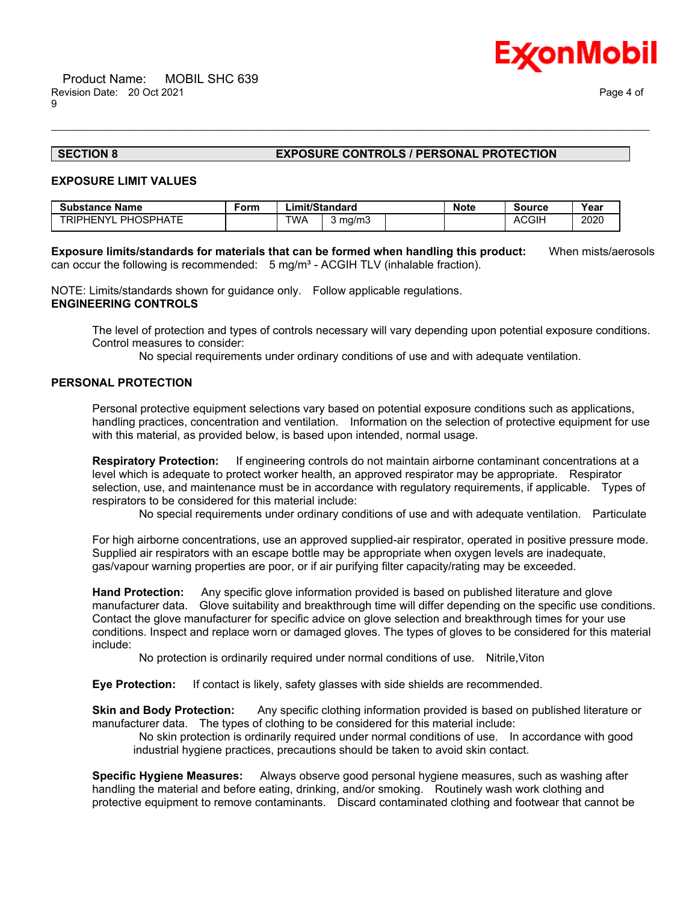

#### **SECTION 8 EXPOSURE CONTROLS / PERSONAL PROTECTION**

#### **EXPOSURE LIMIT VALUES**

| <b>Substance Name</b>   | Form | Limit/Standard |         | <b>Note</b> | <b>Source</b> | Year |
|-------------------------|------|----------------|---------|-------------|---------------|------|
| PHOSPHATE<br>TRIPHENYL. |      | TWA            | 3 ma/m3 |             | <b>ACGIH</b>  | 2020 |

**Exposure limits/standards for materials that can be formed when handling this product:** When mists/aerosols can occur the following is recommended:  $5 \text{ mg/m}^3$  - ACGIH TLV (inhalable fraction).

\_\_\_\_\_\_\_\_\_\_\_\_\_\_\_\_\_\_\_\_\_\_\_\_\_\_\_\_\_\_\_\_\_\_\_\_\_\_\_\_\_\_\_\_\_\_\_\_\_\_\_\_\_\_\_\_\_\_\_\_\_\_\_\_\_\_\_\_\_\_\_\_\_\_\_\_\_\_\_\_\_\_\_\_\_\_\_\_\_\_\_\_\_\_\_\_\_\_\_\_\_\_\_\_\_\_\_\_\_\_\_\_\_\_\_\_\_\_

NOTE: Limits/standards shown for guidance only. Follow applicable regulations. **ENGINEERING CONTROLS**

The level of protection and types of controls necessary will vary depending upon potential exposure conditions. Control measures to consider:

No special requirements under ordinary conditions of use and with adequate ventilation.

### **PERSONAL PROTECTION**

Personal protective equipment selections vary based on potential exposure conditions such as applications, handling practices, concentration and ventilation. Information on the selection of protective equipment for use with this material, as provided below, is based upon intended, normal usage.

**Respiratory Protection:** If engineering controls do not maintain airborne contaminant concentrations at a level which is adequate to protect worker health, an approved respirator may be appropriate. Respirator selection, use, and maintenance must be in accordance with regulatory requirements, if applicable. Types of respirators to be considered for this material include:

No special requirements under ordinary conditions of use and with adequate ventilation. Particulate

For high airborne concentrations, use an approved supplied-air respirator, operated in positive pressure mode. Supplied air respirators with an escape bottle may be appropriate when oxygen levels are inadequate, gas/vapour warning properties are poor, or if air purifying filter capacity/rating may be exceeded.

**Hand Protection:** Any specific glove information provided is based on published literature and glove manufacturer data. Glove suitability and breakthrough time will differ depending on the specific use conditions. Contact the glove manufacturer for specific advice on glove selection and breakthrough times for your use conditions. Inspect and replace worn or damaged gloves. The types of gloves to be considered for this material include:

No protection is ordinarily required under normal conditions of use. Nitrile,Viton

**Eye Protection:** If contact is likely, safety glasses with side shields are recommended.

**Skin and Body Protection:** Any specific clothing information provided is based on published literature or manufacturer data. The types of clothing to be considered for this material include:

No skin protection is ordinarily required under normal conditions of use. In accordance with good industrial hygiene practices, precautions should be taken to avoid skin contact.

**Specific Hygiene Measures:** Always observe good personal hygiene measures, such as washing after handling the material and before eating, drinking, and/or smoking. Routinely wash work clothing and protective equipment to remove contaminants. Discard contaminated clothing and footwear that cannot be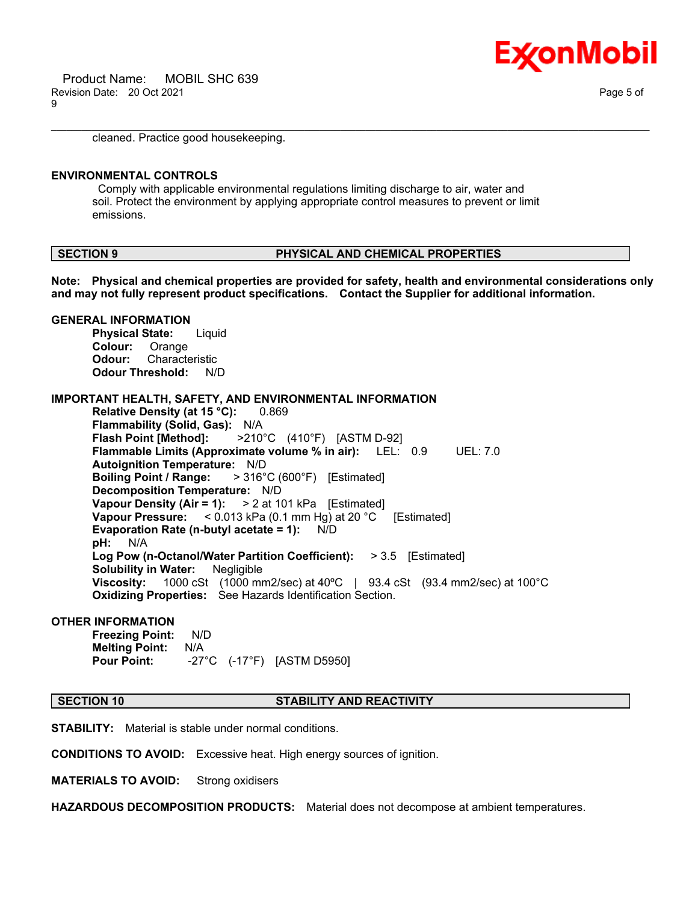

cleaned. Practice good housekeeping.

#### **ENVIRONMENTAL CONTROLS**

Comply with applicable environmental regulations limiting discharge to air, water and soil. Protect the environment by applying appropriate control measures to prevent or limit emissions.

#### **SECTION 9 PHYSICAL AND CHEMICAL PROPERTIES**

**Note: Physical and chemical properties are provided for safety, health and environmental considerations only and may not fully represent product specifications. Contact the Supplier for additional information.**

\_\_\_\_\_\_\_\_\_\_\_\_\_\_\_\_\_\_\_\_\_\_\_\_\_\_\_\_\_\_\_\_\_\_\_\_\_\_\_\_\_\_\_\_\_\_\_\_\_\_\_\_\_\_\_\_\_\_\_\_\_\_\_\_\_\_\_\_\_\_\_\_\_\_\_\_\_\_\_\_\_\_\_\_\_\_\_\_\_\_\_\_\_\_\_\_\_\_\_\_\_\_\_\_\_\_\_\_\_\_\_\_\_\_\_\_\_\_

#### **GENERAL INFORMATION Physical State:** Liquid **Colour:** Orange **Odour:** Characteristic **Odour Threshold:** N/D

# **IMPORTANT HEALTH, SAFETY, AND ENVIRONMENTAL INFORMATION**

**Relative Density (at 15 °C):** 0.869 **Flammability (Solid, Gas):** N/A **Flash Point [Method]:** >210°C (410°F) [ASTM D-92] **Flammable Limits (Approximate volume % in air):** LEL: 0.9 UEL: 7.0 **Autoignition Temperature:** N/D **Boiling Point / Range:** > 316°C (600°F) [Estimated] **Decomposition Temperature:** N/D **Vapour Density (Air = 1):** > 2 at 101 kPa [Estimated] **Vapour Pressure:** < 0.013 kPa (0.1 mm Hg) at 20 °C [Estimated] **Evaporation Rate (n-butyl acetate = 1):** N/D **pH:** N/A **Log Pow (n-Octanol/Water Partition Coefficient):** > 3.5 [Estimated] **Solubility in Water:** Negligible **Viscosity:** 1000 cSt (1000 mm2/sec) at 40ºC | 93.4 cSt (93.4 mm2/sec) at 100°C **Oxidizing Properties:** See Hazards Identification Section.

#### **OTHER INFORMATION**

**Freezing Point:** N/D **Melting Point:** N/A **Pour Point:** -27°C (-17°F) [ASTM D5950]

#### **SECTION 10 STABILITY AND REACTIVITY**

**STABILITY:** Material is stable under normal conditions.

**CONDITIONS TO AVOID:** Excessive heat. High energy sources of ignition.

**MATERIALS TO AVOID:** Strong oxidisers

**HAZARDOUS DECOMPOSITION PRODUCTS:** Material does not decompose at ambient temperatures.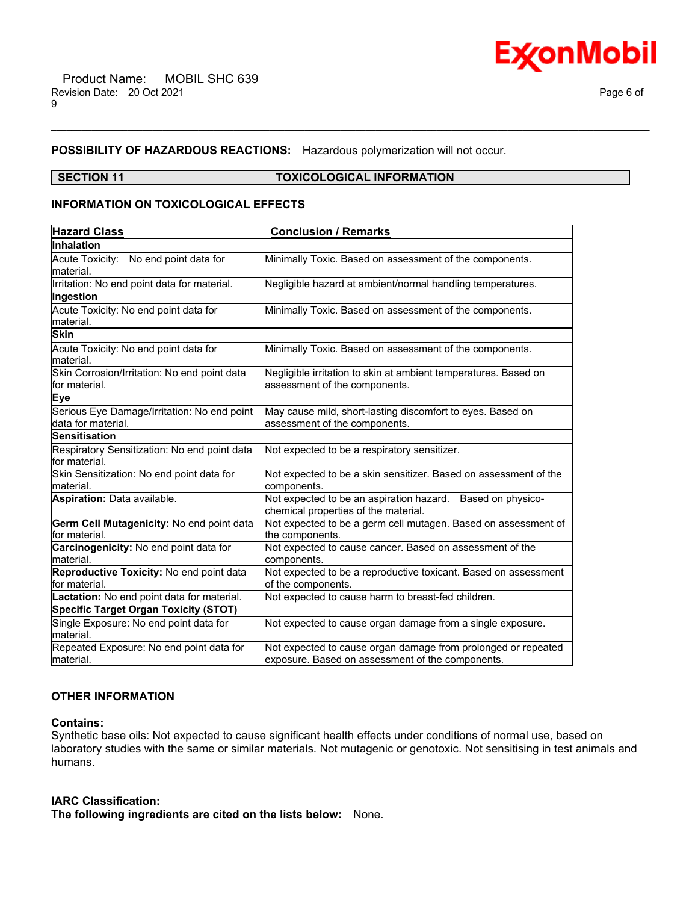

### **POSSIBILITY OF HAZARDOUS REACTIONS:** Hazardous polymerization will not occur.

#### **SECTION 11 TOXICOLOGICAL INFORMATION**

\_\_\_\_\_\_\_\_\_\_\_\_\_\_\_\_\_\_\_\_\_\_\_\_\_\_\_\_\_\_\_\_\_\_\_\_\_\_\_\_\_\_\_\_\_\_\_\_\_\_\_\_\_\_\_\_\_\_\_\_\_\_\_\_\_\_\_\_\_\_\_\_\_\_\_\_\_\_\_\_\_\_\_\_\_\_\_\_\_\_\_\_\_\_\_\_\_\_\_\_\_\_\_\_\_\_\_\_\_\_\_\_\_\_\_\_\_\_

#### **INFORMATION ON TOXICOLOGICAL EFFECTS**

| <b>Hazard Class</b>                                               | <b>Conclusion / Remarks</b>                                                                                       |  |  |
|-------------------------------------------------------------------|-------------------------------------------------------------------------------------------------------------------|--|--|
| Inhalation                                                        |                                                                                                                   |  |  |
| Acute Toxicity: No end point data for                             | Minimally Toxic. Based on assessment of the components.                                                           |  |  |
| material.                                                         |                                                                                                                   |  |  |
| Irritation: No end point data for material.                       | Negligible hazard at ambient/normal handling temperatures.                                                        |  |  |
| Ingestion                                                         |                                                                                                                   |  |  |
| Acute Toxicity: No end point data for<br>material.                | Minimally Toxic. Based on assessment of the components.                                                           |  |  |
| <b>Skin</b>                                                       |                                                                                                                   |  |  |
| Acute Toxicity: No end point data for<br>material.                | Minimally Toxic. Based on assessment of the components.                                                           |  |  |
| Skin Corrosion/Irritation: No end point data<br>for material.     | Negligible irritation to skin at ambient temperatures. Based on<br>assessment of the components.                  |  |  |
| Eye                                                               |                                                                                                                   |  |  |
| Serious Eye Damage/Irritation: No end point<br>data for material. | May cause mild, short-lasting discomfort to eyes. Based on<br>assessment of the components.                       |  |  |
| <b>Sensitisation</b>                                              |                                                                                                                   |  |  |
| Respiratory Sensitization: No end point data<br>for material.     | Not expected to be a respiratory sensitizer.                                                                      |  |  |
| Skin Sensitization: No end point data for<br>material.            | Not expected to be a skin sensitizer. Based on assessment of the<br>components.                                   |  |  |
| Aspiration: Data available.                                       | Not expected to be an aspiration hazard. Based on physico-<br>chemical properties of the material.                |  |  |
| Germ Cell Mutagenicity: No end point data<br>for material.        | Not expected to be a germ cell mutagen. Based on assessment of<br>the components.                                 |  |  |
| Carcinogenicity: No end point data for<br>material.               | Not expected to cause cancer. Based on assessment of the<br>components.                                           |  |  |
| Reproductive Toxicity: No end point data<br>for material.         | Not expected to be a reproductive toxicant. Based on assessment<br>of the components.                             |  |  |
| Lactation: No end point data for material.                        | Not expected to cause harm to breast-fed children.                                                                |  |  |
| <b>Specific Target Organ Toxicity (STOT)</b>                      |                                                                                                                   |  |  |
| Single Exposure: No end point data for<br>material.               | Not expected to cause organ damage from a single exposure.                                                        |  |  |
| Repeated Exposure: No end point data for<br>lmaterial.            | Not expected to cause organ damage from prolonged or repeated<br>exposure. Based on assessment of the components. |  |  |

### **OTHER INFORMATION**

#### **Contains:**

Synthetic base oils: Not expected to cause significant health effects under conditions of normal use, based on laboratory studies with the same or similar materials. Not mutagenic or genotoxic. Not sensitising in test animals and humans.

#### **IARC Classification:**

**The following ingredients are cited on the lists below:** None.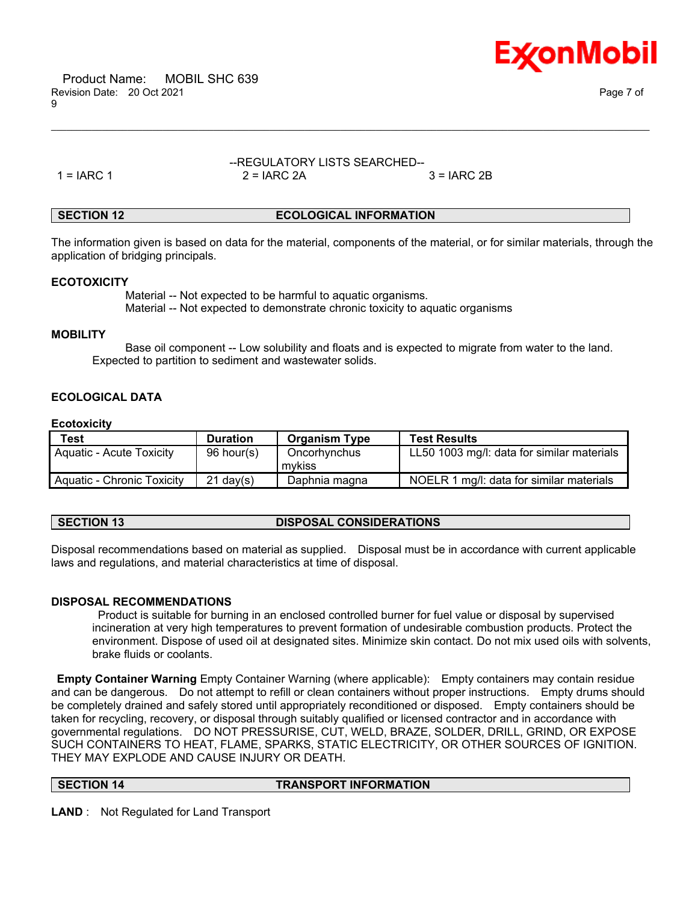

 Product Name: MOBIL SHC 639 Revision Date: 20 Oct 2021 Page 7 of 9

### --REGULATORY LISTS SEARCHED--  $1 = IARC 1$   $2 = IARC 2A$   $3 = IARC 2B$

\_\_\_\_\_\_\_\_\_\_\_\_\_\_\_\_\_\_\_\_\_\_\_\_\_\_\_\_\_\_\_\_\_\_\_\_\_\_\_\_\_\_\_\_\_\_\_\_\_\_\_\_\_\_\_\_\_\_\_\_\_\_\_\_\_\_\_\_\_\_\_\_\_\_\_\_\_\_\_\_\_\_\_\_\_\_\_\_\_\_\_\_\_\_\_\_\_\_\_\_\_\_\_\_\_\_\_\_\_\_\_\_\_\_\_\_\_\_

## **SECTION 12 ECOLOGICAL INFORMATION**

The information given is based on data for the material, components of the material, or for similar materials, through the application of bridging principals.

#### **ECOTOXICITY**

 Material -- Not expected to be harmful to aquatic organisms. Material -- Not expected to demonstrate chronic toxicity to aquatic organisms

#### **MOBILITY**

 Base oil component -- Low solubility and floats and is expected to migrate from water to the land. Expected to partition to sediment and wastewater solids.

### **ECOLOGICAL DATA**

#### **Ecotoxicity**

| <b>Test</b>                       | <b>Duration</b> | <b>Organism Type</b>   | <b>Test Results</b>                        |
|-----------------------------------|-----------------|------------------------|--------------------------------------------|
| Aquatic - Acute Toxicity          | 96 hour(s)      | Oncorhynchus<br>mvkiss | LL50 1003 mg/l: data for similar materials |
| <b>Aquatic - Chronic Toxicity</b> | $21$ dav(s)     | Daphnia magna          | NOELR 1 mg/l: data for similar materials   |

# **SECTION 13 DISPOSAL CONSIDERATIONS**

Disposal recommendations based on material as supplied. Disposal must be in accordance with current applicable laws and regulations, and material characteristics at time of disposal.

#### **DISPOSAL RECOMMENDATIONS**

Product is suitable for burning in an enclosed controlled burner for fuel value or disposal by supervised incineration at very high temperatures to prevent formation of undesirable combustion products. Protect the environment. Dispose of used oil at designated sites. Minimize skin contact. Do not mix used oils with solvents, brake fluids or coolants.

**Empty Container Warning** Empty Container Warning (where applicable): Empty containers may contain residue and can be dangerous. Do not attempt to refill or clean containers without proper instructions. Empty drums should be completely drained and safely stored until appropriately reconditioned or disposed. Empty containers should be taken for recycling, recovery, or disposal through suitably qualified or licensed contractor and in accordance with governmental regulations. DO NOT PRESSURISE, CUT, WELD, BRAZE, SOLDER, DRILL, GRIND, OR EXPOSE SUCH CONTAINERS TO HEAT, FLAME, SPARKS, STATIC ELECTRICITY, OR OTHER SOURCES OF IGNITION. THEY MAY EXPLODE AND CAUSE INJURY OR DEATH.

**SECTION 14 TRANSPORT INFORMATION**

**LAND** : Not Regulated for Land Transport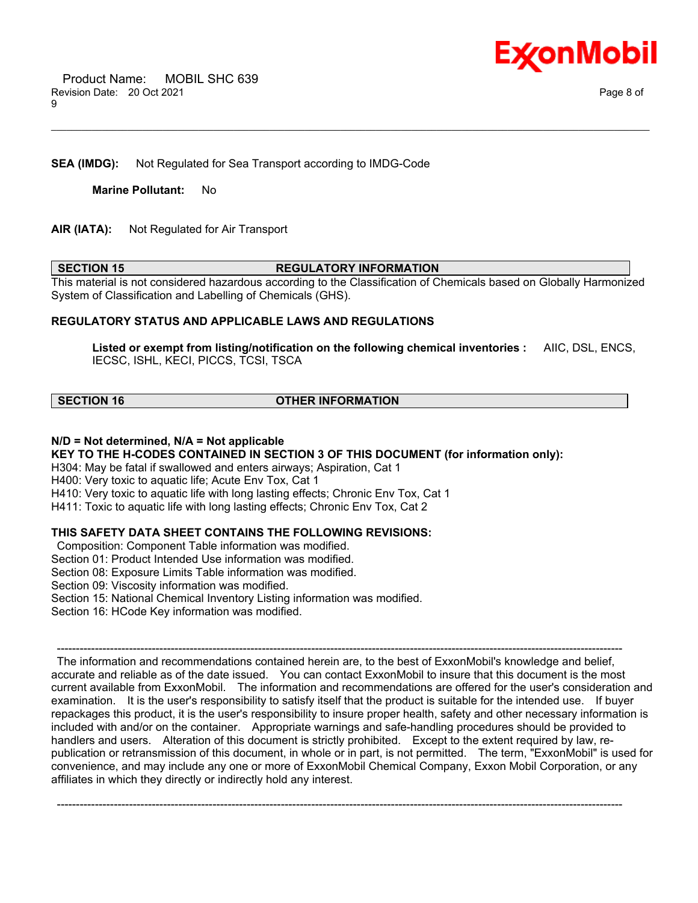

# **SEA (IMDG):** Not Regulated for Sea Transport according to IMDG-Code

**Marine Pollutant:** No

**AIR (IATA):** Not Regulated for Air Transport

#### **SECTION 15 REGULATORY INFORMATION**

\_\_\_\_\_\_\_\_\_\_\_\_\_\_\_\_\_\_\_\_\_\_\_\_\_\_\_\_\_\_\_\_\_\_\_\_\_\_\_\_\_\_\_\_\_\_\_\_\_\_\_\_\_\_\_\_\_\_\_\_\_\_\_\_\_\_\_\_\_\_\_\_\_\_\_\_\_\_\_\_\_\_\_\_\_\_\_\_\_\_\_\_\_\_\_\_\_\_\_\_\_\_\_\_\_\_\_\_\_\_\_\_\_\_\_\_\_\_

This material is not considered hazardous according to the Classification of Chemicals based on Globally Harmonized System of Classification and Labelling of Chemicals (GHS).

#### **REGULATORY STATUS AND APPLICABLE LAWS AND REGULATIONS**

**Listed or exempt from listing/notification on the following chemical inventories :** AIIC, DSL, ENCS, IECSC, ISHL, KECI, PICCS, TCSI, TSCA

### **SECTION 16 OTHER INFORMATION**

#### **N/D = Not determined, N/A = Not applicable**

**KEY TO THE H-CODES CONTAINED IN SECTION 3 OF THIS DOCUMENT (for information only):**

H304: May be fatal if swallowed and enters airways; Aspiration, Cat 1

H400: Very toxic to aquatic life; Acute Env Tox, Cat 1

H410: Very toxic to aquatic life with long lasting effects; Chronic Env Tox, Cat 1

H411: Toxic to aquatic life with long lasting effects; Chronic Env Tox, Cat 2

# **THIS SAFETY DATA SHEET CONTAINS THE FOLLOWING REVISIONS:**

Composition: Component Table information was modified.

Section 01: Product Intended Use information was modified.

Section 08: Exposure Limits Table information was modified.

Section 09: Viscosity information was modified.

Section 15: National Chemical Inventory Listing information was modified.

Section 16: HCode Key information was modified.

----------------------------------------------------------------------------------------------------------------------------------------------------- The information and recommendations contained herein are, to the best of ExxonMobil's knowledge and belief, accurate and reliable as of the date issued. You can contact ExxonMobil to insure that this document is the most current available from ExxonMobil. The information and recommendations are offered for the user's consideration and examination. It is the user's responsibility to satisfy itself that the product is suitable for the intended use. If buyer repackages this product, it is the user's responsibility to insure proper health, safety and other necessary information is included with and/or on the container. Appropriate warnings and safe-handling procedures should be provided to handlers and users. Alteration of this document is strictly prohibited. Except to the extent required by law, republication or retransmission of this document, in whole or in part, is not permitted. The term, "ExxonMobil" is used for convenience, and may include any one or more of ExxonMobil Chemical Company, Exxon Mobil Corporation, or any affiliates in which they directly or indirectly hold any interest.

-----------------------------------------------------------------------------------------------------------------------------------------------------